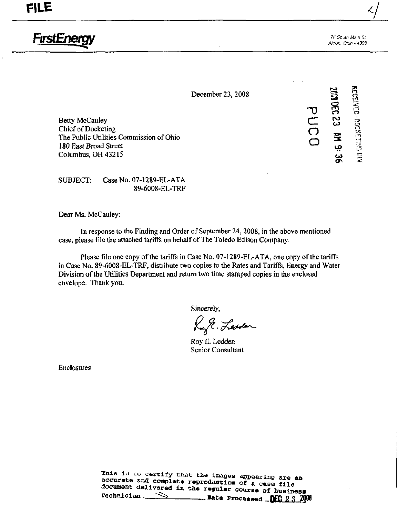FirstEnerc

76 Scuth Main Si Akron, Onio 44308

December 23, 2008

Betty McCauley<br>
Chief of Docketing<br>
The Public Utilities Commission of Ohio<br>
180 Enst Broad Street Chief of Docketing The Public Utilities Commission of Ohio 180 East Broad Street Columbus, OH 43215 ^

-y i rn m CO o rn  $\omega$ 

SUBJECT: Case No, 07-1289-EL-ATA 89-6008-EL-TRF

Dear Ms. McCauley:

In response to the Finding and Order of September 24, 2008, in the above mentioned case, please file the attached tariffs on behalf of The Toledo Edison Company.

Please file one copy of the tariffs in Case No. 07-1289-EL-ATA, one copy of the tariffs in Case No. 89-6008-EL-TRF, distribute two copies to the Rates and Tariffs, Energy and Water Division of the Utilities Department and return two time stamped copies in the enclosed envelope. Thank you.

Sincerely,

Ruft. Lesden

Roy E. Ledden Senior Consultant

Enclosures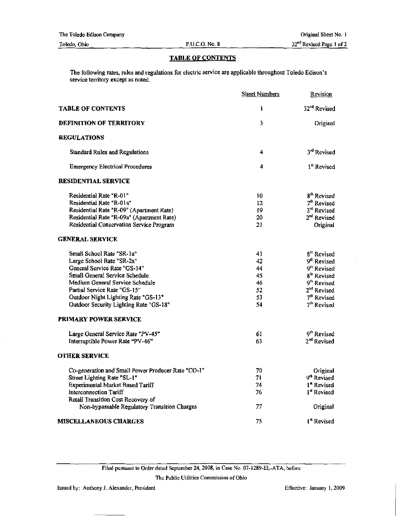| The Toledo Edison Company |                | Original Sheet No. 1                 |
|---------------------------|----------------|--------------------------------------|
| Toledo, Ohio              | P.U.C.O. No. 8 | 32 <sup>nd</sup> Revised Page 1 of 2 |

# TABLE OF CONTENTS

The following rates, rules and regulations for electric service are applicable throughout Toledo Edison's service territory except as noted.

|                                                    | <b>Sheet Numbers</b> | Revision                 |
|----------------------------------------------------|----------------------|--------------------------|
| <b>TABLE OF CONTENTS</b>                           | 1                    | 32 <sup>nd</sup> Revised |
| <b>DEFINITION OF TERRITORY</b>                     | 3                    | Original                 |
| <b>REGULATIONS</b>                                 |                      |                          |
| <b>Standard Rules and Regulations</b>              | 4                    | 3rd Revised              |
| <b>Emergency Electrical Procedures</b>             | 4                    | 1 <sup>st</sup> Revised  |
| <b>RESIDENTIAL SERVICE</b>                         |                      |                          |
| Residential Rate "R-01"                            | 10                   | 8 <sup>th</sup> Revised  |
| Residential Rate "R-01a"                           | 12                   | 7 <sup>th</sup> Revised  |
| Residential Rate "R-09" (Apartment Rate)           | 19                   | 3 <sup>rd</sup> Revised  |
| Residential Rate "R-09a" (Apartment Rate)          | 20                   | 2 <sup>nd</sup> Revised  |
| Residential Conservation Service Program           | 21                   | Original                 |
| <b>GENERAL SERVICE</b>                             |                      |                          |
| Small School Rate "SR-1a"                          | 41                   | 8 <sup>th</sup> Revised  |
| Large School Rate "SR-2a"                          | 42                   | 9 <sup>th</sup> Revised  |
| General Service Rate "GS-14"                       | 44                   | 9 <sup>th</sup> Revised  |
| Small General Service Schedule                     | 45                   | 8 <sup>th</sup> Revised  |
| Medium General Service Schedule                    | 46                   | 9 <sup>th</sup> Revised  |
| Partial Service Rate "GS-15"                       | 52                   | 2 <sup>nd</sup> Revised  |
| Outdoor Night Lighting Rate "GS-13"                | 53                   | 7 <sup>th</sup> Revised  |
| Outdoor Security Lighting Rate "GS-18"             | 54                   | 7 <sup>th</sup> Revised  |
| PRIMARY POWER SERVICE                              |                      |                          |
| Large General Service Rate "PV-45"                 | 61                   | 9 <sup>th</sup> Revised  |
| Interruptible Power Rate "PV-46"                   | 63                   | 2 <sup>nd</sup> Revised  |
| <b>OTHER SERVICE</b>                               |                      |                          |
| Co-generation and Small Power Producer Rate "CO-1" | 70                   | Original                 |
| Street Lighting Rate "SL-1"                        | 71                   | 9 <sup>th</sup> Revised  |
| <b>Experimental Market Based Tariff</b>            | 74                   | 1 <sup>st</sup> Revised  |
| Interconnection Tariff                             | 76                   | 1st Revised              |
| Retail Transition Cost Recovery of                 |                      |                          |
| Non-bypassable Regulatory Transition Charges       | 77                   | Original                 |
| <b>MISCELLANEOUS CHARGES</b>                       | 75                   | 1 <sup>st</sup> Revised  |

The Public Utilities Commission of Ohio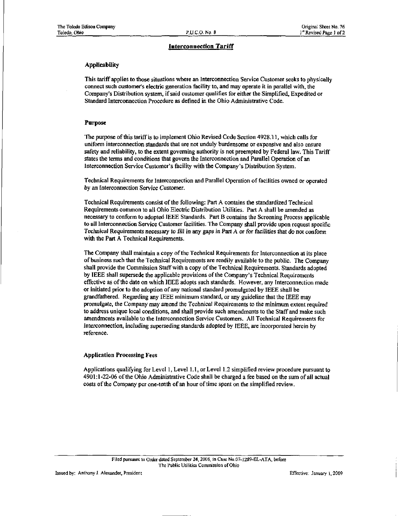## Interconnection Tariff

#### Applicability

This tariff applies to those situations where an Interconnection Service Customer seeks to physically connect such customer's electric generation facility to, and may operate it in parallel with, the Company's Distribution system, if said customer qualifies for either the Simplified, Expedited or Standard Interconnection Procedure as defined in the Ohio Administrative Code.

#### Purpose

The purpose of this tariff is to implement Ohio Revised Code Section 4928.11, which calls for uniform interconnection standards that are not unduly burdensome or expensive and also ensure safety and reliability, to the extent governing authority is not preempted by Federal law. This Tariff states the terms and conditions that govern the Interconnection and Parallel Operation of an Interconnection Service Customer's fecility with the Company's Distribution System.

Technical Requirements for Interconnection and Parallel Operation of facilities owned or operated by an Interconnection Service Customer.

Technical Requirements consist ofthe following: Part A contains the standardized Technical Requirements common to all Ohio Electric Distribution Utilities. Part A shall be amended as necessary to conform to adopted IEEE Standards. Part B contains the Screening Process applicable to all Interconnection Service Customer facilities. The Company shall provide upon request specific Technical Requirements necessary to fill in any gaps in Part A or for facilities that do not conform with the Part A Technical Requirements.

The Company shall maintain a copy of the Technical Requirements for Interconnection at its place of business such that the Technical Requirements are readily available to the public. The Company shall provide the Commission Staff with a copy of the Technical Requirements. Standards adopted by IEEE shall supersede the applicable provisions ofthe Company's Technical Requirements effective as of the date on which IEEE adopts such standards. However, any Interconnection made or initiated prior to the adoption of any national standard promulgated by IEEE shall be grandfathered. Regarding any IEEE minimum standard, or any guideline that the IEEE may promulgate, the Company may amend the Technical Requirements to the minimum extent required to address unique local conditions, and shall provide such amendments to the Staff and make such amendments available to the Interconnection Service Customers. All Technical Requirements for Interconnection, including superseding standards adopted by IEEE, are incorporated herein by reference.

#### Application Processing Fees

Applications qualifying for Level 1, Level l.I, or Level 1.2 simplified review procedure pursuant to 4901:1-22-06 ofthe Ohio Administrative Code shall be charged a fee based on the sum of all actual costs of the Company per one-tenth of an hour of time spent on the simplified review.

Issued by: Anthony J. Alexander, President Effective: January 1, 2009